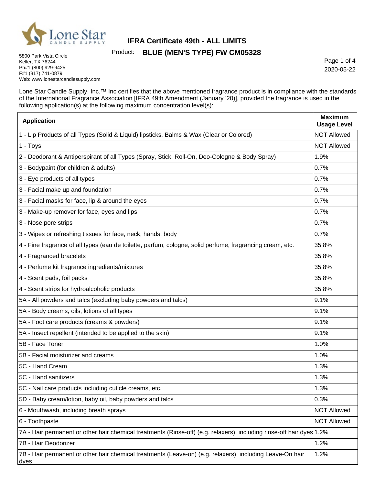

Page 1 of 4 2020-05-22

5800 Park Vista Circle Keller, TX 76244 Ph#1 (800) 929-9425 F#1 (817) 741-0879 Web: www.lonestarcandlesupply.com

Lone Star Candle Supply, Inc.™ Inc certifies that the above mentioned fragrance product is in compliance with the standards of the International Fragrance Association [IFRA 49th Amendment (January '20)], provided the fragrance is used in the following application(s) at the following maximum concentration level(s):

| <b>Application</b>                                                                                                    | <b>Maximum</b><br><b>Usage Level</b> |
|-----------------------------------------------------------------------------------------------------------------------|--------------------------------------|
| 1 - Lip Products of all Types (Solid & Liquid) lipsticks, Balms & Wax (Clear or Colored)                              | <b>NOT Allowed</b>                   |
| 1 - Toys                                                                                                              | <b>NOT Allowed</b>                   |
| 2 - Deodorant & Antiperspirant of all Types (Spray, Stick, Roll-On, Deo-Cologne & Body Spray)                         | 1.9%                                 |
| 3 - Bodypaint (for children & adults)                                                                                 | 0.7%                                 |
| 3 - Eye products of all types                                                                                         | 0.7%                                 |
| 3 - Facial make up and foundation                                                                                     | 0.7%                                 |
| 3 - Facial masks for face, lip & around the eyes                                                                      | 0.7%                                 |
| 3 - Make-up remover for face, eyes and lips                                                                           | 0.7%                                 |
| 3 - Nose pore strips                                                                                                  | 0.7%                                 |
| 3 - Wipes or refreshing tissues for face, neck, hands, body                                                           | 0.7%                                 |
| 4 - Fine fragrance of all types (eau de toilette, parfum, cologne, solid perfume, fragrancing cream, etc.             | 35.8%                                |
| 4 - Fragranced bracelets                                                                                              | 35.8%                                |
| 4 - Perfume kit fragrance ingredients/mixtures                                                                        | 35.8%                                |
| 4 - Scent pads, foil packs                                                                                            | 35.8%                                |
| 4 - Scent strips for hydroalcoholic products                                                                          | 35.8%                                |
| 5A - All powders and talcs (excluding baby powders and talcs)                                                         | 9.1%                                 |
| 5A - Body creams, oils, lotions of all types                                                                          | 9.1%                                 |
| 5A - Foot care products (creams & powders)                                                                            | 9.1%                                 |
| 5A - Insect repellent (intended to be applied to the skin)                                                            | 9.1%                                 |
| 5B - Face Toner                                                                                                       | 1.0%                                 |
| 5B - Facial moisturizer and creams                                                                                    | 1.0%                                 |
| 5C - Hand Cream                                                                                                       | 1.3%                                 |
| 5C - Hand sanitizers                                                                                                  | 1.3%                                 |
| 5C - Nail care products including cuticle creams, etc.                                                                | 1.3%                                 |
| 5D - Baby cream/lotion, baby oil, baby powders and talcs                                                              | 0.3%                                 |
| 6 - Mouthwash, including breath sprays                                                                                | <b>NOT Allowed</b>                   |
| 6 - Toothpaste                                                                                                        | <b>NOT Allowed</b>                   |
| 7A - Hair permanent or other hair chemical treatments (Rinse-off) (e.g. relaxers), including rinse-off hair dyes 1.2% |                                      |
| 7B - Hair Deodorizer                                                                                                  | 1.2%                                 |
| 7B - Hair permanent or other hair chemical treatments (Leave-on) (e.g. relaxers), including Leave-On hair<br>dyes     | 1.2%                                 |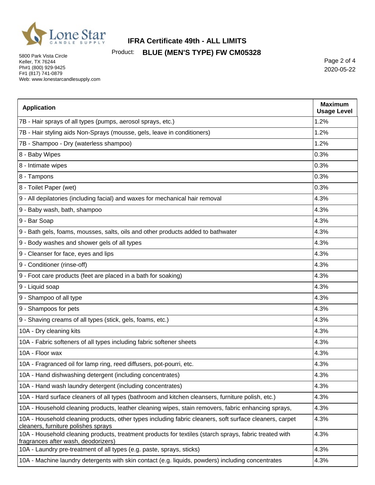

5800 Park Vista Circle Keller, TX 76244 Ph#1 (800) 929-9425 F#1 (817) 741-0879 Web: www.lonestarcandlesupply.com

Page 2 of 4 2020-05-22

| <b>Application</b>                                                                                                                             | <b>Maximum</b><br><b>Usage Level</b> |
|------------------------------------------------------------------------------------------------------------------------------------------------|--------------------------------------|
| 7B - Hair sprays of all types (pumps, aerosol sprays, etc.)                                                                                    | 1.2%                                 |
| 7B - Hair styling aids Non-Sprays (mousse, gels, leave in conditioners)                                                                        | 1.2%                                 |
| 7B - Shampoo - Dry (waterless shampoo)                                                                                                         | 1.2%                                 |
| 8 - Baby Wipes                                                                                                                                 | 0.3%                                 |
| 8 - Intimate wipes                                                                                                                             | 0.3%                                 |
| 8 - Tampons                                                                                                                                    | 0.3%                                 |
| 8 - Toilet Paper (wet)                                                                                                                         | 0.3%                                 |
| 9 - All depilatories (including facial) and waxes for mechanical hair removal                                                                  | 4.3%                                 |
| 9 - Baby wash, bath, shampoo                                                                                                                   | 4.3%                                 |
| 9 - Bar Soap                                                                                                                                   | 4.3%                                 |
| 9 - Bath gels, foams, mousses, salts, oils and other products added to bathwater                                                               | 4.3%                                 |
| 9 - Body washes and shower gels of all types                                                                                                   | 4.3%                                 |
| 9 - Cleanser for face, eyes and lips                                                                                                           | 4.3%                                 |
| 9 - Conditioner (rinse-off)                                                                                                                    | 4.3%                                 |
| 9 - Foot care products (feet are placed in a bath for soaking)                                                                                 | 4.3%                                 |
| 9 - Liquid soap                                                                                                                                | 4.3%                                 |
| 9 - Shampoo of all type                                                                                                                        | 4.3%                                 |
| 9 - Shampoos for pets                                                                                                                          | 4.3%                                 |
| 9 - Shaving creams of all types (stick, gels, foams, etc.)                                                                                     | 4.3%                                 |
| 10A - Dry cleaning kits                                                                                                                        | 4.3%                                 |
| 10A - Fabric softeners of all types including fabric softener sheets                                                                           | 4.3%                                 |
| 10A - Floor wax                                                                                                                                | 4.3%                                 |
| 10A - Fragranced oil for lamp ring, reed diffusers, pot-pourri, etc.                                                                           | 4.3%                                 |
| 10A - Hand dishwashing detergent (including concentrates)                                                                                      | 4.3%                                 |
| 10A - Hand wash laundry detergent (including concentrates)                                                                                     | 4.3%                                 |
| 10A - Hard surface cleaners of all types (bathroom and kitchen cleansers, furniture polish, etc.)                                              | 4.3%                                 |
| 10A - Household cleaning products, leather cleaning wipes, stain removers, fabric enhancing sprays,                                            | 4.3%                                 |
| 10A - Household cleaning products, other types including fabric cleaners, soft surface cleaners, carpet<br>cleaners, furniture polishes sprays | 4.3%                                 |
| 10A - Household cleaning products, treatment products for textiles (starch sprays, fabric treated with<br>fragrances after wash, deodorizers)  | 4.3%                                 |
| 10A - Laundry pre-treatment of all types (e.g. paste, sprays, sticks)                                                                          | 4.3%                                 |
| 10A - Machine laundry detergents with skin contact (e.g. liquids, powders) including concentrates                                              | 4.3%                                 |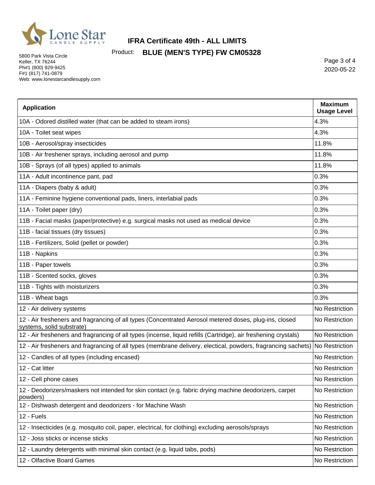

5800 Park Vista Circle Keller, TX 76244 Ph#1 (800) 929-9425 F#1 (817) 741-0879 Web: www.lonestarcandlesupply.com

Page 3 of 4 2020-05-22

| <b>Application</b>                                                                                                                  | <b>Maximum</b><br><b>Usage Level</b> |
|-------------------------------------------------------------------------------------------------------------------------------------|--------------------------------------|
| 10A - Odored distilled water (that can be added to steam irons)                                                                     | 4.3%                                 |
| 10A - Toilet seat wipes                                                                                                             | 4.3%                                 |
| 10B - Aerosol/spray insecticides                                                                                                    | 11.8%                                |
| 10B - Air freshener sprays, including aerosol and pump                                                                              | 11.8%                                |
| 10B - Sprays (of all types) applied to animals                                                                                      | 11.8%                                |
| 11A - Adult incontinence pant, pad                                                                                                  | 0.3%                                 |
| 11A - Diapers (baby & adult)                                                                                                        | 0.3%                                 |
| 11A - Feminine hygiene conventional pads, liners, interlabial pads                                                                  | 0.3%                                 |
| 11A - Toilet paper (dry)                                                                                                            | 0.3%                                 |
| 11B - Facial masks (paper/protective) e.g. surgical masks not used as medical device                                                | 0.3%                                 |
| 11B - facial tissues (dry tissues)                                                                                                  | 0.3%                                 |
| 11B - Fertilizers, Solid (pellet or powder)                                                                                         | 0.3%                                 |
| 11B - Napkins                                                                                                                       | 0.3%                                 |
| 11B - Paper towels                                                                                                                  | 0.3%                                 |
| 11B - Scented socks, gloves                                                                                                         | 0.3%                                 |
| 11B - Tights with moisturizers                                                                                                      | 0.3%                                 |
| 11B - Wheat bags                                                                                                                    | 0.3%                                 |
| 12 - Air delivery systems                                                                                                           | No Restriction                       |
| 12 - Air fresheners and fragrancing of all types (Concentrated Aerosol metered doses, plug-ins, closed<br>systems, solid substrate) | No Restriction                       |
| 12 - Air fresheners and fragrancing of all types (incense, liquid refills (Cartridge), air freshening crystals)                     | No Restriction                       |
| 12 - Air fresheners and fragrancing of all types (membrane delivery, electical, powders, fragrancing sachets) No Restriction        |                                      |
| 12 - Candles of all types (including encased)                                                                                       | No Restriction                       |
| 12 - Cat litter                                                                                                                     | No Restriction                       |
| 12 - Cell phone cases                                                                                                               | No Restriction                       |
| 12 - Deodorizers/maskers not intended for skin contact (e.g. fabric drying machine deodorizers, carpet<br>powders)                  | No Restriction                       |
| 12 - Dishwash detergent and deodorizers - for Machine Wash                                                                          | No Restriction                       |
| 12 - Fuels                                                                                                                          | No Restriction                       |
| 12 - Insecticides (e.g. mosquito coil, paper, electrical, for clothing) excluding aerosols/sprays                                   | No Restriction                       |
| 12 - Joss sticks or incense sticks                                                                                                  | No Restriction                       |
| 12 - Laundry detergents with minimal skin contact (e.g. liquid tabs, pods)                                                          | No Restriction                       |
| 12 - Olfactive Board Games                                                                                                          | No Restriction                       |